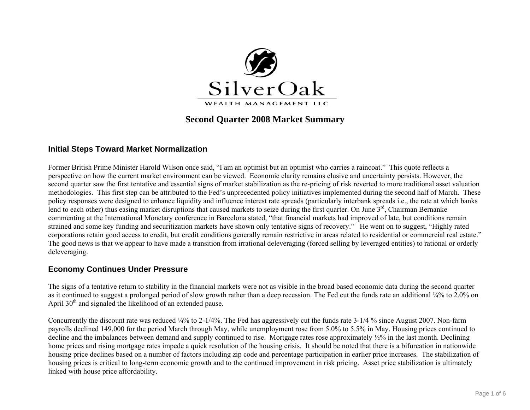

# **Second Quarter 2008 Market Summary**

### **Initial Steps Toward Market Normalization**

Former British Prime Minister Harold Wilson once said, "I am an optimist but an optimist who carries a raincoat." This quote reflects a perspective on how the current market environment can be viewed. Economic clarity remains elusive and uncertainty persists. However, the second quarter saw the first tentative and essential signs of market stabilization as the re-pricing of risk reverted to more traditional asset valuation methodologies. This first step can be attributed to the Fed's unprecedented policy initiatives implemented during the second half of March. These policy responses were designed to enhance liquidity and influence interest rate spreads (particularly interbank spreads i.e., the rate at which banks lend to each other) thus easing market disruptions that caused markets to seize during the first quarter. On June  $3<sup>rd</sup>$ , Chairman Bernanke commenting at the International Monetary conference in Barcelona stated, "that financial markets had improved of late, but conditions remain strained and some key funding and securitization markets have shown only tentative signs of recovery." He went on to suggest, "Highly rated corporations retain good access to credit, but credit conditions generally remain restrictive in areas related to residential or commercial real estate." The good news is that we appear to have made a transition from irrational deleveraging (forced selling by leveraged entities) to rational or orderly deleveraging.

### **Economy Continues Under Pressure**

The signs of a tentative return to stability in the financial markets were not as visible in the broad based economic data during the second quarter as it continued to suggest a prolonged period of slow growth rather than a deep recession. The Fed cut the funds rate an additional ¼% to 2.0% on April  $30<sup>th</sup>$  and signaled the likelihood of an extended pause.

Concurrently the discount rate was reduced ¼% to 2-1/4%. The Fed has aggressively cut the funds rate 3-1/4 % since August 2007. Non-farm payrolls declined 149,000 for the period March through May, while unemployment rose from 5.0% to 5.5% in May. Housing prices continued to decline and the imbalances between demand and supply continued to rise. Mortgage rates rose approximately ½% in the last month. Declining home prices and rising mortgage rates impede a quick resolution of the housing crisis. It should be noted that there is a bifurcation in nationwide housing price declines based on a number of factors including zip code and percentage participation in earlier price increases. The stabilization of housing prices is critical to long-term economic growth and to the continued improvement in risk pricing. Asset price stabilization is ultimately linked with house price affordability.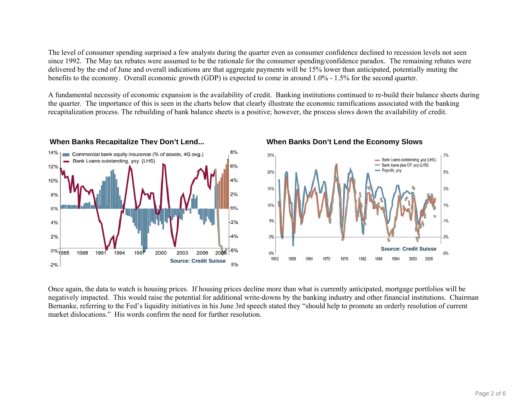The level of consumer spending surprised a few analysts during the quarter even as consumer confidence declined to recession levels not seen since 1992. The May tax rebates were assumed to be the rationale for the consumer spending/confidence paradox. The remaining rebates were delivered by the end of June and overall indications are that aggregate payments will be 15% lower than anticipated, potentially muting the benefits to the economy. Overall economic growth (GDP) is expected to come in around 1.0% - 1.5% for the second quarter.

A fundamental necessity of economic expansion is the availability of credit. Banking institutions continued to re-build their balance sheets during the quarter. The importance of this is seen in the charts below that clearly illustrate the economic ramifications associated with the banking recapitalization process. The rebuilding of bank balance sheets is a positive; however, the process slows down the availability of credit.







Once again, the data to watch is housing prices. If housing prices decline more than what is currently anticipated, mortgage portfolios will be negatively impacted. This would raise the potential for additional write-downs by the banking industry and other financial institutions. Chairman Bernanke, referring to the Fed's liquidity initiatives in his June 3rd speech stated they "should help to promote an orderly resolution of current market dislocations." His words confirm the need for further resolution.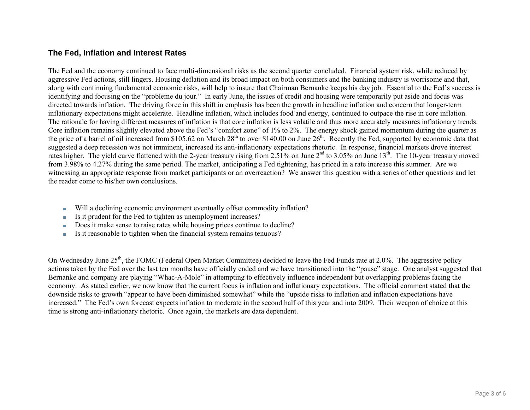### **The Fed, Inflation and Interest Rates**

The Fed and the economy continued to face multi-dimensional risks as the second quarter concluded. Financial system risk, while reduced by aggressive Fed actions, still lingers. Housing deflation and its broad impact on both consumers and the banking industry is worrisome and that, along with continuing fundamental economic risks, will help to insure that Chairman Bernanke keeps his day job. Essential to the Fed's success is identifying and focusing on the "probleme du jour." In early June, the issues of credit and housing were temporarily put aside and focus was directed towards inflation. The driving force in this shift in emphasis has been the growth in headline inflation and concern that longer-term inflationary expectations might accelerate. Headline inflation, which includes food and energy, continued to outpace the rise in core inflation. The rationale for having different measures of inflation is that core inflation is less volatile and thus more accurately measures inflationary trends. Core inflation remains slightly elevated above the Fed's "comfort zone" of 1% to 2%. The energy shock gained momentum during the quarter as the price of a barrel of oil increased from \$105.62 on March  $28<sup>th</sup>$  to over \$140.00 on June  $26<sup>th</sup>$ . Recently the Fed, supported by economic data that suggested a deep recession was not imminent, increased its anti-inflationary expectations rhetoric. In response, financial markets drove interest rates higher. The yield curve flattened with the 2-year treasury rising from  $2.51\%$  on June  $2<sup>nd</sup>$  to 3.05% on June  $13<sup>th</sup>$ . The 10-year treasury moved from 3.98% to 4.27% during the same period. The market, anticipating a Fed tightening, has priced in a rate increase this summer. Are we witnessing an appropriate response from market participants or an overreaction? We answer this question with a series of other questions and let the reader come to his/her own conclusions.

- Will a declining economic environment eventually offset commodity inflation?
- Is it prudent for the Fed to tighten as unemployment increases?
- Does it make sense to raise rates while housing prices continue to decline?
- ■Is it reasonable to tighten when the financial system remains tenuous?

On Wednesday June 25<sup>th</sup>, the FOMC (Federal Open Market Committee) decided to leave the Fed Funds rate at 2.0%. The aggressive policy actions taken by the Fed over the last ten months have officially ended and we have transitioned into the "pause" stage. One analyst suggested that Bernanke and company are playing "Whac-A-Mole" in attempting to effectively influence independent but overlapping problems facing the economy. As stated earlier, we now know that the current focus is inflation and inflationary expectations. The official comment stated that the downside risks to growth "appear to have been diminished somewhat" while the "upside risks to inflation and inflation expectations have increased." The Fed's own forecast expects inflation to moderate in the second half of this year and into 2009. Their weapon of choice at this time is strong anti-inflationary rhetoric. Once again, the markets are data dependent.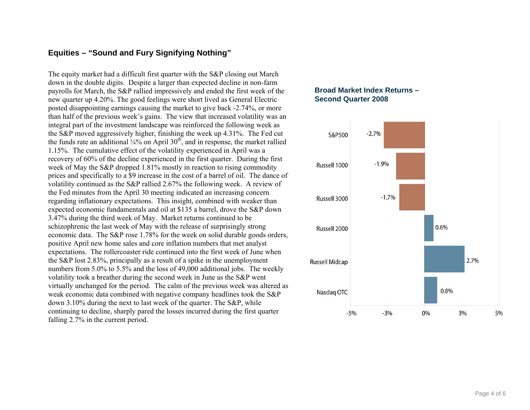## **Equities – "Sound and Fury Signifying Nothing"**

The equity market had a difficult first quarter with the S&P closing out March down in the double digits. Despite a larger than expected decline in non-farm payrolls for March, the S&P rallied impressively and ended the first week of the new quarter up 4.20%. The good feelings were short lived as General Electric posted disappointing earnings causing the market to give back -2.74%, or more than half of the previous week's gains. The view that increased volatility was an integral part of the investment landscape was reinforced the following week as the S&P moved aggressively higher, finishing the week up 4.31%. The Fed cut the funds rate an additional  $\frac{1}{4}$ % on April 30<sup>th</sup>, and in response, the market rallied 1.15%. The cumulative effect of the volatility experienced in April was a recovery of 60% of the decline experienced in the first quarter. During the first week of May the S&P dropped 1.81% mostly in reaction to rising commodity prices and specifically to a \$9 increase in the cost of a barrel of oil. The dance of volatility continued as the S&P rallied 2.67% the following week. A review of the Fed minutes from the April 30 meeting indicated an increasing concern regarding inflationary expectations. This insight, combined with weaker than expected economic fundamentals and oil at \$135 a barrel, drove the S&P down 3.47% during the third week of May. Market returns continued to be schizophrenic the last week of May with the release of surprisingly strong economic data. The S&P rose 1.78% for the week on solid durable goods orders, positive April new home sales and core inflation numbers that met analyst expectations. The rollercoaster ride continued into the first week of June when the S&P lost 2.83%, principally as a result of a spike in the unemployment numbers from 5.0% to 5.5% and the loss of 49,000 additional jobs. The weekly volatility took a breather during the second week in June as the S&P went virtually unchanged for the period. The calm of the previous week was altered as weak economic data combined with negative company headlines took the S&P down 3.10% during the next to last week of the quarter. The S&P, while continuing to decline, sharply pared the losses incurred during the first quarter falling 2.7% in the current period.

### **Broad Market Index Returns – Second Quarter 2008**

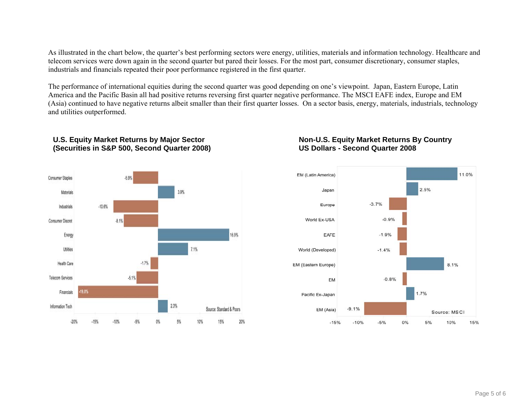As illustrated in the chart below, the quarter's best performing sectors were energy, utilities, materials and information technology. Healthcare and telecom services were down again in the second quarter but pared their losses. For the most part, consumer discretionary, consumer staples, industrials and financials repeated their poor performance registered in the first quarter.

The performance of international equities during the second quarter was good depending on one's viewpoint. Japan, Eastern Europe, Latin America and the Pacific Basin all had positive returns reversing first quarter negative performance. The MSCI EAFE index, Europe and EM (Asia) continued to have negative returns albeit smaller than their first quarter losses. On a sector basis, energy, materials, industrials, technology and utilities outperformed.



### **U.S. Equity Market Returns by Major Sector (Securities in S&P 500, Second Quarter 2008)**

### **Non-U.S. Equity Market Returns By Country US Dollars - Second Quarter 2008**